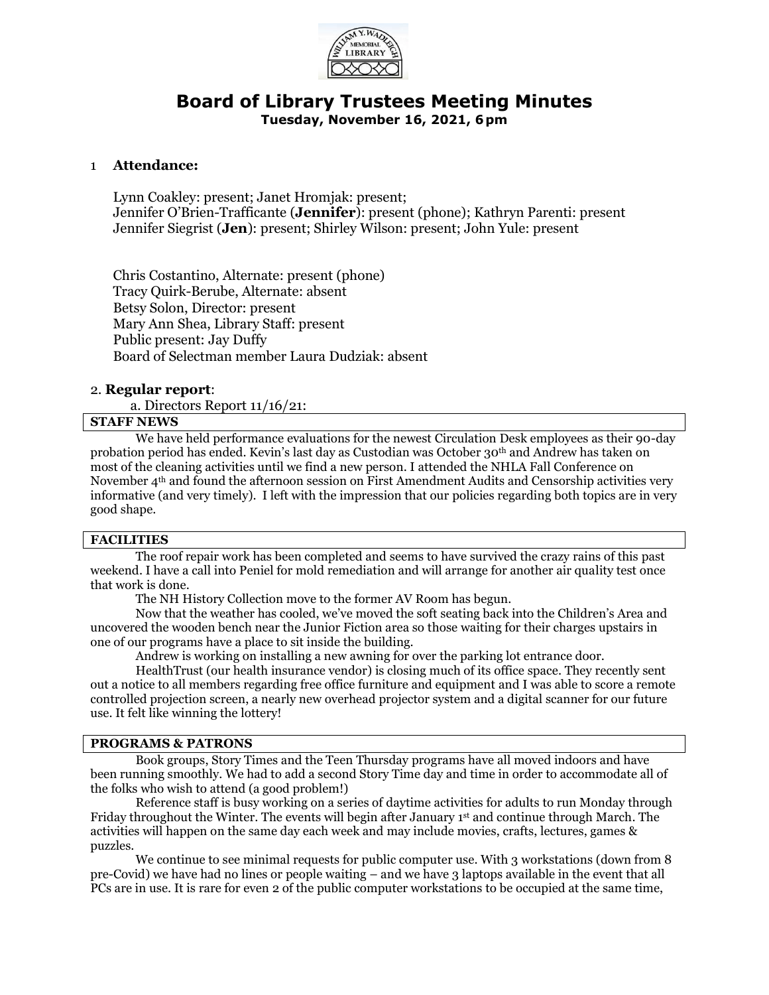

# **Board of Library Trustees Meeting Minutes**

**Tuesday, November 16, 2021, 6pm**

# 1 **Attendance:**

Lynn Coakley: present; Janet Hromjak: present; Jennifer O'Brien-Trafficante (**Jennifer**): present (phone); Kathryn Parenti: present Jennifer Siegrist (**Jen**): present; Shirley Wilson: present; John Yule: present

Chris Costantino, Alternate: present (phone) Tracy Quirk-Berube, Alternate: absent Betsy Solon, Director: present Mary Ann Shea, Library Staff: present Public present: Jay Duffy Board of Selectman member Laura Dudziak: absent

## 2. **Regular report**:

a. Directors Report 11/16/21:

### **STAFF NEWS**

We have held performance evaluations for the newest Circulation Desk employees as their 90-day probation period has ended. Kevin's last day as Custodian was October 30th and Andrew has taken on most of the cleaning activities until we find a new person. I attended the NHLA Fall Conference on November 4th and found the afternoon session on First Amendment Audits and Censorship activities very informative (and very timely). I left with the impression that our policies regarding both topics are in very good shape.

#### **FACILITIES**

The roof repair work has been completed and seems to have survived the crazy rains of this past weekend. I have a call into Peniel for mold remediation and will arrange for another air quality test once that work is done.

The NH History Collection move to the former AV Room has begun.

Now that the weather has cooled, we've moved the soft seating back into the Children's Area and uncovered the wooden bench near the Junior Fiction area so those waiting for their charges upstairs in one of our programs have a place to sit inside the building.

Andrew is working on installing a new awning for over the parking lot entrance door.

HealthTrust (our health insurance vendor) is closing much of its office space. They recently sent out a notice to all members regarding free office furniture and equipment and I was able to score a remote controlled projection screen, a nearly new overhead projector system and a digital scanner for our future use. It felt like winning the lottery!

#### **PROGRAMS & PATRONS**

Book groups, Story Times and the Teen Thursday programs have all moved indoors and have been running smoothly. We had to add a second Story Time day and time in order to accommodate all of the folks who wish to attend (a good problem!)

Reference staff is busy working on a series of daytime activities for adults to run Monday through Friday throughout the Winter. The events will begin after January 1st and continue through March. The activities will happen on the same day each week and may include movies, crafts, lectures, games & puzzles.

We continue to see minimal requests for public computer use. With 3 workstations (down from 8 pre-Covid) we have had no lines or people waiting – and we have 3 laptops available in the event that all PCs are in use. It is rare for even 2 of the public computer workstations to be occupied at the same time,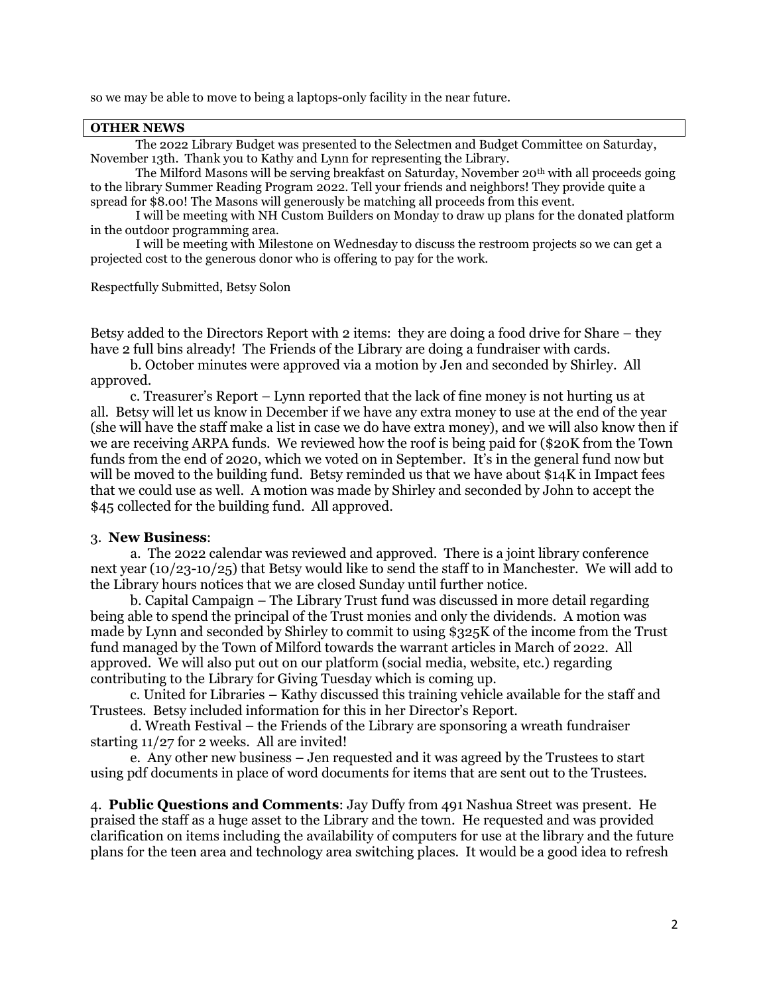so we may be able to move to being a laptops-only facility in the near future.

#### **OTHER NEWS**

The 2022 Library Budget was presented to the Selectmen and Budget Committee on Saturday, November 13th. Thank you to Kathy and Lynn for representing the Library.

The Milford Masons will be serving breakfast on Saturday, November 20th with all proceeds going to the library Summer Reading Program 2022. Tell your friends and neighbors! They provide quite a spread for \$8.00! The Masons will generously be matching all proceeds from this event.

I will be meeting with NH Custom Builders on Monday to draw up plans for the donated platform in the outdoor programming area.

I will be meeting with Milestone on Wednesday to discuss the restroom projects so we can get a projected cost to the generous donor who is offering to pay for the work.

Respectfully Submitted, Betsy Solon

Betsy added to the Directors Report with 2 items: they are doing a food drive for Share – they have 2 full bins already! The Friends of the Library are doing a fundraiser with cards.

 b. October minutes were approved via a motion by Jen and seconded by Shirley. All approved.

 c. Treasurer's Report – Lynn reported that the lack of fine money is not hurting us at all. Betsy will let us know in December if we have any extra money to use at the end of the year (she will have the staff make a list in case we do have extra money), and we will also know then if we are receiving ARPA funds. We reviewed how the roof is being paid for (\$20K from the Town funds from the end of 2020, which we voted on in September. It's in the general fund now but will be moved to the building fund. Betsy reminded us that we have about  $$14K$  in Impact fees that we could use as well. A motion was made by Shirley and seconded by John to accept the \$45 collected for the building fund. All approved.

#### 3. **New Business**:

 a. The 2022 calendar was reviewed and approved. There is a joint library conference next year (10/23-10/25) that Betsy would like to send the staff to in Manchester. We will add to the Library hours notices that we are closed Sunday until further notice.

 b. Capital Campaign – The Library Trust fund was discussed in more detail regarding being able to spend the principal of the Trust monies and only the dividends. A motion was made by Lynn and seconded by Shirley to commit to using \$325K of the income from the Trust fund managed by the Town of Milford towards the warrant articles in March of 2022. All approved. We will also put out on our platform (social media, website, etc.) regarding contributing to the Library for Giving Tuesday which is coming up.

 c. United for Libraries – Kathy discussed this training vehicle available for the staff and Trustees. Betsy included information for this in her Director's Report.

 d. Wreath Festival – the Friends of the Library are sponsoring a wreath fundraiser starting 11/27 for 2 weeks. All are invited!

 e. Any other new business – Jen requested and it was agreed by the Trustees to start using pdf documents in place of word documents for items that are sent out to the Trustees.

4. **Public Questions and Comments**: Jay Duffy from 491 Nashua Street was present. He praised the staff as a huge asset to the Library and the town. He requested and was provided clarification on items including the availability of computers for use at the library and the future plans for the teen area and technology area switching places. It would be a good idea to refresh